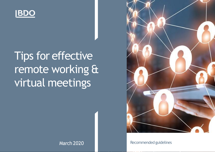

# Tips for effective remote working & virtual meetings



March 2020 **Recommended guidelines**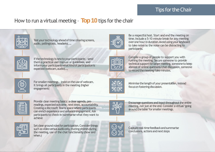# Tips for the Chair

# How to run a virtual meeting – **Top10**tips forthe chair



Test your technology ahead of time (sharing screens, audio, pollingtools, headsets(...,



If the technology is new to your participants - send them a practical user manual or guidelines, and inform your participants what kind of participation is expected (webcam, audio(...,



For smaller meetings - insist on the use of webcam. It brings all participants in the meeting (higher engagement(



Provide clear meeting basics: a clear agenda, prereadings, expected outcome, next steps, accountability. Creating a Microsoft Teams space where participants can enrich experience and enhance engagement. Ask participants to check-in/summarise what they want to achieve



Set clear ground rules for participation. Consider things such as video versus audio only, muting phones during the meeting, use of the chat functionality (how and when.<sup>(</sup>



Be a respectful host. Start and end the meeting on time. Include a 5-10 minute break for any meeting over one hour in duration. Avoid using your keyboard to take notes as the noise can be distracting to participants.



Compile a group of people to support you with running the meeting. Secure someone to provide technical support for larger meeting, someone to keep abreast of online questions/chat discussion, someone to record the meeting/take minutes.



Minimise the length of your presentation, instead focus on fostering discussion.



Encourage questions and input throughout the entire meeting, not just at the end. Consider a virtual 'going' around the table' for smaller meetings.



Capture real-time feedback and summarise conclusions, actions and next steps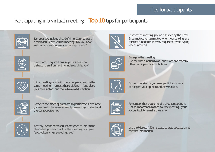#### Tips for participants

# Participating in a virtual meeting – **Top10**tips for participants











If in a meeting room with more people attending the same meeting – respect those dialling in (and close your own laptops and tools) to avoid distraction



Come to the meeting prepared to participate. Familiarise yourself with the agenda, read pre-readings, understand the desiredoutcomes.



Actively use the Microsoft Teams space to inform the chair what you want out of the meeting (and give feedback on any pre-readings, etc(.



Respect the meeting ground rules set by the Chair. Enter muted, remain muted when not speaking, use the chat function in the way requested, avoid typing when unmuted



Engage in the meeting Use the chat function to ask questions and react to other participant`scontributions



Do not stay silent - you are a participant - as a participant your opinion and view matters



Remember that outcome of a virtual meeting is just as important as a face-to-face meeting - your accountability remains the same



Use the Microsoft Teams space to stay updated on all relevant information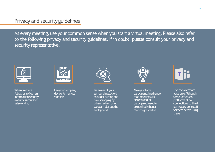#### Privacy and securityguidelines

As every meeting, use your common sense when you start a virtual meeting. Please also refer to the following privacy and security guidelines. If in doubt, please consult your privacy and security representative.



When in doubt, follow or refresh an **Information Security** awareness courseon teleworking



Use your company device for remote working



Be aware of your surroundings. Avoid shoulder surfing and eavesdropping by others. When using webcam blurout the background



Always inform participants inadvance that meetingswill be recorded,all participants needto be notified when a recording isstarted



Use the Microsoft apps only. Although some Office365 platforms allow connections to third party apps, consult IT Services before using these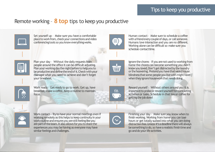### Remote working – **8 top** tips to keep you productive



Set yourself up – Make sure you have a comfortable place to work from, check your connections and video conferencing tools so you know everything works.



Human contact – Make sure to schedule a coffee with a friend every couple of days, or call someone. Humans love interaction and you are no different. Working alone can be difficult so make sure you schedule contacttime.



Plan your day – Without the daily requests from people around the office it can be difficult adjusting. Plan your working day the night before to help you to be productive and define the end of it. Check with your manager what you need to achieve and don't forget your timesheet.



Ignore the chores - If you are not used to working from home the chores can become something you didn't know you loved. Don't get distracted by the laundry or the hoovering. Pretend you have that weird house blindness that some people you live with might have when they ignore housework that needs doing.



Work ready - Get ready to go to work. Get up, have breakfast, make a coffee. Keep a routine to maintain focus.



Reward yourself – Without others around you it is important to praise or reward yourself for completing activities or tasks. Schedule in that tea or coffee for getting the job done!



Work contact - Try to have your normal meetings even if working remotely as this helps to keep continuity in your work routine and ensures you are still feeling like you are part of the team. It also allows for you to share the experiences you may be having as everyone may have similar feelings and challenges.

Finishing your day – Make sure you know when to finish working. Working from home you can lose hours or get totally sucked into what you are doing distraction free. Unless it's a deadline there will always be something to do, so have a realistic finish time and go and do your life activities.